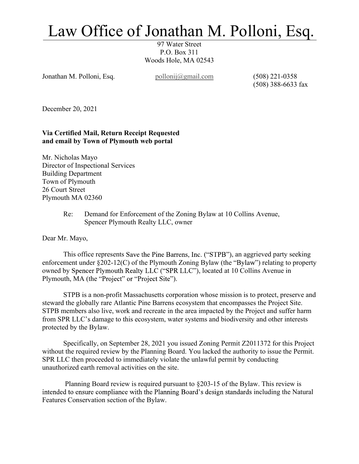## Law Office of Jonathan M. Polloni, Esq.

97 Water Street P.O. Box 311 Woods Hole, MA 02543

Jonathan M. Polloni, Esq. pollonij@gmail.com (508) 221-0358

(508) 388-6633 fax

December 20, 2021

## Via Certified Mail, Return Receipt Requested and email by Town of Plymouth web portal

Mr. Nicholas Mayo Director of Inspectional Services Building Department Town of Plymouth 26 Court Street Plymouth MA 02360

> Re: Demand for Enforcement of the Zoning Bylaw at 10 Collins Avenue, Spencer Plymouth Realty LLC, owner

Dear Mr. Mayo,

This office represents Save the Pine Barrens, Inc. ("STPB"), an aggrieved party seeking enforcement under  $\S 202 - 12(C)$  of the Plymouth Zoning Bylaw (the "Bylaw") relating to property owned by Spencer Plymouth Realty LLC ("SPR LLC"), located at 10 Collins Avenue in Plymouth, MA (the "Project" or "Project Site").

STPB is a non-profit Massachusetts corporation whose mission is to protect, preserve and steward the globally rare Atlantic Pine Barrens ecosystem that encompasses the Project Site. STPB members also live, work and recreate in the area impacted by the Project and suffer harm from SPR LLC's damage to this ecosystem, water systems and biodiversity and other interests protected by the Bylaw.

 Specifically, on September 28, 2021 you issued Zoning Permit Z2011372 for this Project without the required review by the Planning Board. You lacked the authority to issue the Permit. SPR LLC then proceeded to immediately violate the unlawful permit by conducting unauthorized earth removal activities on the site.

 Planning Board review is required pursuant to §203-15 of the Bylaw. This review is intended to ensure compliance with the Planning Board's design standards including the Natural Features Conservation section of the Bylaw.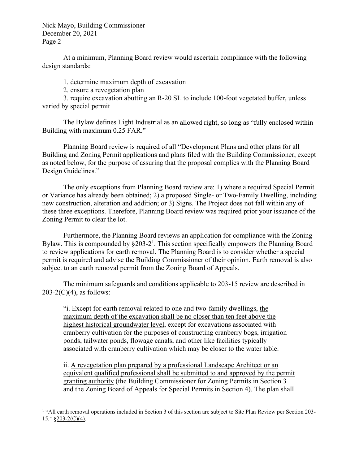Nick Mayo, Building Commissioner December 20, 2021 Page 2

At a minimum, Planning Board review would ascertain compliance with the following design standards:

1. determine maximum depth of excavation

2. ensure a revegetation plan

3. require excavation abutting an R-20 SL to include 100-foot vegetated buffer, unless varied by special permit

The Bylaw defines Light Industrial as an allowed right, so long as "fully enclosed within Building with maximum 0.25 FAR."

Planning Board review is required of all "Development Plans and other plans for all Building and Zoning Permit applications and plans filed with the Building Commissioner, except as noted below, for the purpose of assuring that the proposal complies with the Planning Board Design Guidelines."

 The only exceptions from Planning Board review are: 1) where a required Special Permit or Variance has already been obtained; 2) a proposed Single- or Two-Family Dwelling, including new construction, alteration and addition; or 3) Signs. The Project does not fall within any of these three exceptions. Therefore, Planning Board review was required prior your issuance of the Zoning Permit to clear the lot.

 Furthermore, the Planning Board reviews an application for compliance with the Zoning Bylaw. This is compounded by  $\S203-2^1$ . This section specifically empowers the Planning Board to review applications for earth removal. The Planning Board is to consider whether a special permit is required and advise the Building Commissioner of their opinion. Earth removal is also subject to an earth removal permit from the Zoning Board of Appeals.

 The minimum safeguards and conditions applicable to 203-15 review are described in  $203-2(C)(4)$ , as follows:

i. Except for earth removal related to one and two-family dwellings, the maximum depth of the excavation shall be no closer than ten feet above the highest historical groundwater level, except for excavations associated with cranberry cultivation for the purposes of constructing cranberry bogs, irrigation ponds, tailwater ponds, flowage canals, and other like facilities typically associated with cranberry cultivation which may be closer to the water table.

ii. A revegetation plan prepared by a professional Landscape Architect or an equivalent qualified professional shall be submitted to and approved by the permit granting authority (the Building Commissioner for Zoning Permits in Section 3

and the Zoning Board of Appeals for Special Permits in Section 4). The plan shall<br>1 "All earth removal operations included in Section 3 of this section are subject to Site Plan Review per Section 203- $15." \underline{\$203-2(C)(4).}$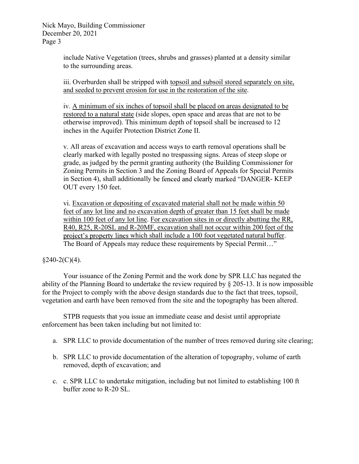Nick Mayo, Building Commissioner December 20, 2021 Page 3

> include Native Vegetation (trees, shrubs and grasses) planted at a density similar to the surrounding areas.

iii. Overburden shall be stripped with topsoil and subsoil stored separately on site, and seeded to prevent erosion for use in the restoration of the site.

iv. A minimum of six inches of topsoil shall be placed on areas designated to be restored to a natural state (side slopes, open space and areas that are not to be otherwise improved). This minimum depth of topsoil shall be increased to 12 inches in the Aquifer Protection District Zone II.

v. All areas of excavation and access ways to earth removal operations shall be clearly marked with legally posted no trespassing signs. Areas of steep slope or grade, as judged by the permit granting authority (the Building Commissioner for Zoning Permits in Section 3 and the Zoning Board of Appeals for Special Permits in Section 4), shall additionally be fenced and clearly marked "DANGER-KEEP OUT every 150 feet.

vi. Excavation or depositing of excavated material shall not be made within 50 feet of any lot line and no excavation depth of greater than 15 feet shall be made within 100 feet of any lot line. For excavation sites in or directly abutting the RR, R40, R25, R-20SL and R-20MF, excavation shall not occur within 200 feet of the project's property lines which shall include a 100 foot vegetated natural buffer. The Board of Appeals may reduce these requirements by Special Permit..."

 $§240-2(C)(4).$ 

Your issuance of the Zoning Permit and the work done by SPR LLC has negated the ability of the Planning Board to undertake the review required by  $\delta$  205-13. It is now impossible for the Project to comply with the above design standards due to the fact that trees, topsoil, vegetation and earth have been removed from the site and the topography has been altered.

STPB requests that you issue an immediate cease and desist until appropriate enforcement has been taken including but not limited to:

- a. SPR LLC to provide documentation of the number of trees removed during site clearing;
- b. SPR LLC to provide documentation of the alteration of topography, volume of earth removed, depth of excavation; and
- c. c. SPR LLC to undertake mitigation, including but not limited to establishing 100 ft buffer zone to R-20 SL.